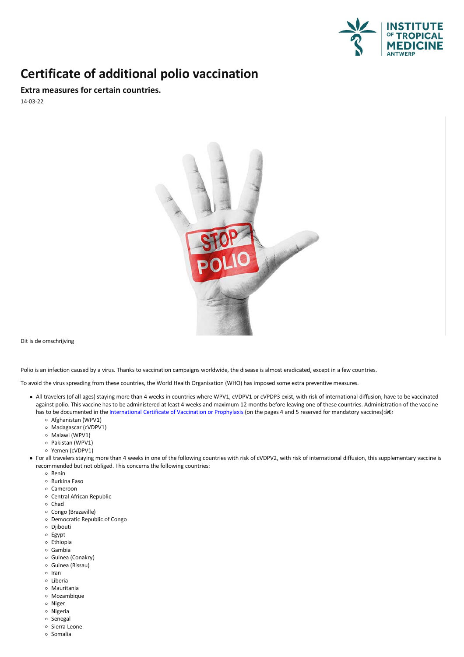

## **Certificate of additional polio vaccination**

**Extra measures for certain countries.**

14-03-22



Dit is de omschrijving

Polio is an infection caused by a virus. Thanks to vaccination campaigns worldwide, the disease is almost eradicated, except in a few countries.

To avoid the virus spreading from these countries, the World Health Organisation (WHO) has imposed some extra preventive measures.

- All travelers (ofall ages) staying more than 4 weeks in countries where WPV1, cVDPV1 or cVPDP3 exist, with risk of international diffusion, have to be vaccinated against polio. This vaccine has to be administered at least 4 weeks and maximum 12 months before leaving one of these countries. Administration of the vaccine has to be documented in the [International](http://www.who.int/ihr/IVC200_06_26.pdf?ua=1) Certificate of Vaccination or Prophylaxis (on the pages 4 and 5 reserved for mandatory vaccines): â E
	- o Afghanistan (WPV1)
	- Madagascar (cVDPV1)
	- o Malawi (WPV1)
	- Pakistan (WPV1)
	- Yemen (cVDPV1)
- Forall travelers staying more than 4 weeks in one of the following countries with risk of cVDPV2, with risk of international diffusion, this supplementary vaccine is recommended but not obliged.This concerns the following countries:
	- o Benin
	- o Burkina Faso
	- o Cameroon
	- o Central African Republic
	- Chad
	- Congo (Brazaville)
	- Democratic Republic of Congo
	- o Djibouti
	- Egypt
	-
	-
	- ∘ Ethiopia<br>∘ Gambia<br>∘ Guinea (Conakry)
	- o Guinea (Bissau)
	- ∘ Iran<br>∘ Liberia
	-
	-
	- ∘ Mauritania<br>∘ Mozambique<br>∘ Nigeria
	-
	-
	- o Senegal
	- o Sierra Leone
	- o Somalia